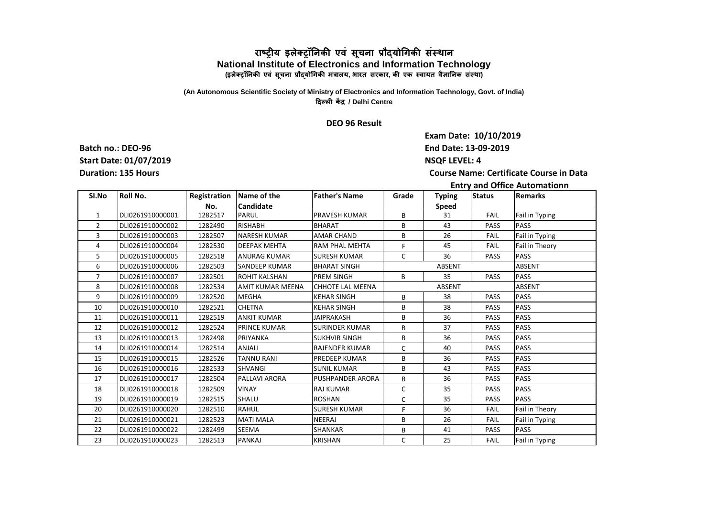## **राष्ट्रीय इऱेक्ट्रॉनिकी एवं सूचिा प्रौद्योगिकी संस्थाि National Institute of Electronics and Information Technology (इऱेक्ट्रॉनिकी एवं सूचिा प्रौद्योगिकी मंत्राऱय, भारत सरकार, की एक स्वायत वैज्ञानिक संस्था)**

## **(An Autonomous Scientific Society of Ministry of Electronics and Information Technology, Govt. of India) ददल्ऱी केंद्र / Delhi Centre**

## **DEO 96 Result**

**End Date: 13-09-2019 NSQF LEVEL: 4 Exam Date: 10/10/2019**

**Course Name: Certificate Course in Data** 

**Batch no.: DEO-96 Start Date: 01/07/2019 Duration: 135 Hours**

## **Entry and Office Automationn**

| SI.No          | Roll No.         |         | Registration   Name of the | <b>Father's Name</b>    | Grade         | <b>Typing</b> | <b>Status</b> | <b>Remarks</b> |
|----------------|------------------|---------|----------------------------|-------------------------|---------------|---------------|---------------|----------------|
|                |                  | No.     | Candidate                  |                         |               | Speed         |               |                |
| $\mathbf{1}$   | DLI0261910000001 | 1282517 | PARUL                      | PRAVESH KUMAR           | B             | 31            | <b>FAIL</b>   | Fail in Typing |
| $\overline{2}$ | DLI0261910000002 | 1282490 | <b>RISHABH</b>             | <b>BHARAT</b>           | B             | 43            | PASS          | <b>PASS</b>    |
| 3              | DLI0261910000003 | 1282507 | <b>NARESH KUMAR</b>        | <b>AMAR CHAND</b>       | B             | 26            | <b>FAIL</b>   | Fail in Typing |
| 4              | DLI0261910000004 | 1282530 | <b>DEEPAK MEHTA</b>        | <b>RAM PHAL MEHTA</b>   | F.            | 45            | <b>FAIL</b>   | Fail in Theory |
| 5              | DLI0261910000005 | 1282518 | <b>ANURAG KUMAR</b>        | <b>SURESH KUMAR</b>     | C             | 36            | <b>PASS</b>   | <b>PASS</b>    |
| 6              | DLI0261910000006 | 1282503 | <b>SANDEEP KUMAR</b>       | <b>BHARAT SINGH</b>     | <b>ABSENT</b> |               |               | <b>ABSENT</b>  |
| $\overline{7}$ | DLI0261910000007 | 1282501 | ROHIT KALSHAN              | <b>PREM SINGH</b>       | B             | 35            | <b>PASS</b>   | <b>PASS</b>    |
| 8              | DLI0261910000008 | 1282534 | AMIT KUMAR MEENA           | CHHOTE LAL MEENA        | ABSENT        |               |               | <b>ABSENT</b>  |
| 9              | DLI0261910000009 | 1282520 | <b>MEGHA</b>               | <b>KEHAR SINGH</b>      | B             | 38            | <b>PASS</b>   | PASS           |
| 10             | DLI0261910000010 | 1282521 | <b>CHETNA</b>              | <b>KEHAR SINGH</b>      | B             | 38            | <b>PASS</b>   | <b>PASS</b>    |
| 11             | DLI0261910000011 | 1282519 | <b>ANKIT KUMAR</b>         | <b>JAIPRAKASH</b>       | B             | 36            | PASS          | PASS           |
| 12             | DLI0261910000012 | 1282524 | <b>PRINCE KUMAR</b>        | <b>SURINDER KUMAR</b>   | B             | 37            | <b>PASS</b>   | PASS           |
| 13             | DLI0261910000013 | 1282498 | PRIYANKA                   | <b>SUKHVIR SINGH</b>    | B             | 36            | <b>PASS</b>   | PASS           |
| 14             | DLI0261910000014 | 1282514 | ANJALI                     | <b>RAJENDER KUMAR</b>   | C             | 40            | <b>PASS</b>   | PASS           |
| 15             | DLI0261910000015 | 1282526 | <b>TANNU RANI</b>          | <b>PREDEEP KUMAR</b>    | B             | 36            | <b>PASS</b>   | PASS           |
| 16             | DLI0261910000016 | 1282533 | <b>SHVANGI</b>             | <b>SUNIL KUMAR</b>      | B             | 43            | <b>PASS</b>   | PASS           |
| 17             | DLI0261910000017 | 1282504 | PALLAVI ARORA              | <b>PUSHPANDER ARORA</b> | B             | 36            | <b>PASS</b>   | <b>PASS</b>    |
| 18             | DLI0261910000018 | 1282509 | <b>VINAY</b>               | <b>RAJ KUMAR</b>        | C             | 35            | <b>PASS</b>   | <b>PASS</b>    |
| 19             | DLI0261910000019 | 1282515 | SHALU                      | <b>ROSHAN</b>           | C             | 35            | <b>PASS</b>   | <b>PASS</b>    |
| 20             | DLI0261910000020 | 1282510 | <b>RAHUL</b>               | <b>SURESH KUMAR</b>     | F.            | 36            | <b>FAIL</b>   | Fail in Theory |
| 21             | DLI0261910000021 | 1282523 | <b>MATI MALA</b>           | NEERAJ                  | B             | 26            | <b>FAIL</b>   | Fail in Typing |
| 22             | DLI0261910000022 | 1282499 | SEEMA                      | SHANKAR                 | B             | 41            | PASS          | <b>PASS</b>    |
| 23             | DLI0261910000023 | 1282513 | PANKAJ                     | <b>KRISHAN</b>          | C             | 25            | <b>FAIL</b>   | Fail in Typing |